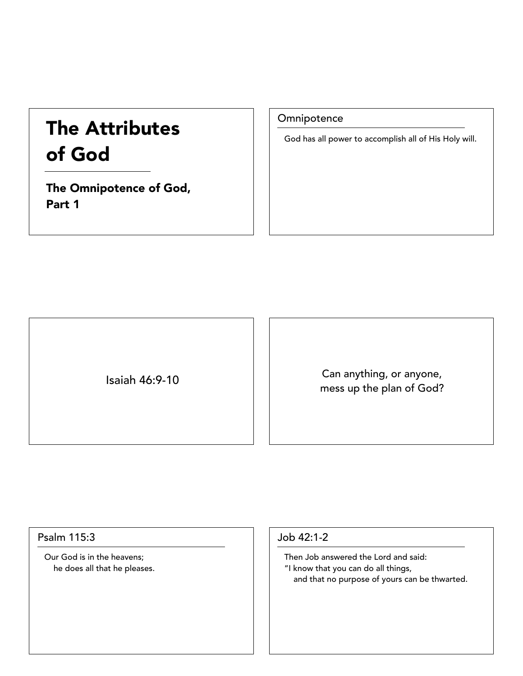# The Attributes of God

The Omnipotence of God, Part 1

**Omnipotence** 

God has all power to accomplish all of His Holy will.

Isaiah 46:9-10 Can anything, or anyone, mess up the plan of God?

#### Psalm 115:3

Our God is in the heavens; he does all that he pleases.

#### Job 42:1-2

Then Job answered the Lord and said: "I know that you can do all things, and that no purpose of yours can be thwarted.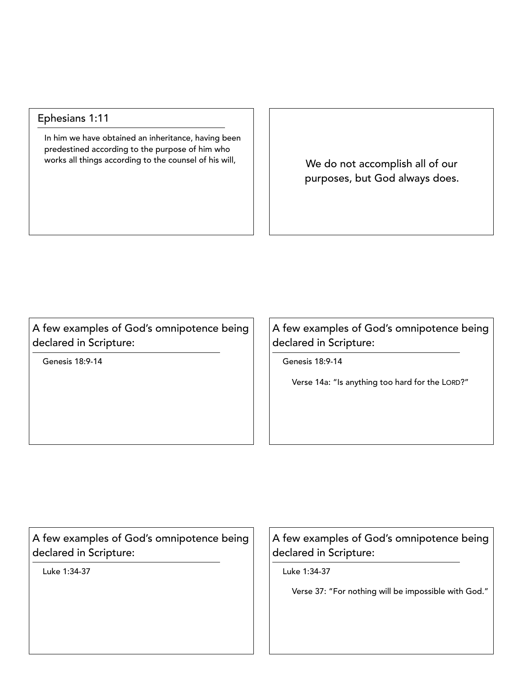### Ephesians 1:11

In him we have obtained an inheritance, having been predestined according to the purpose of him who works all things according to the counsel of his will,  $\parallel$  We do not accomplish all of our

purposes, but God always does.

A few examples of God's omnipotence being declared in Scripture:

Genesis 18:9-14

A few examples of God's omnipotence being declared in Scripture:

Genesis 18:9-14

Verse 14a: "Is anything too hard for the LORD?"

A few examples of God's omnipotence being declared in Scripture:

Luke 1:34-37

A few examples of God's omnipotence being declared in Scripture:

Luke 1:34-37

Verse 37: "For nothing will be impossible with God."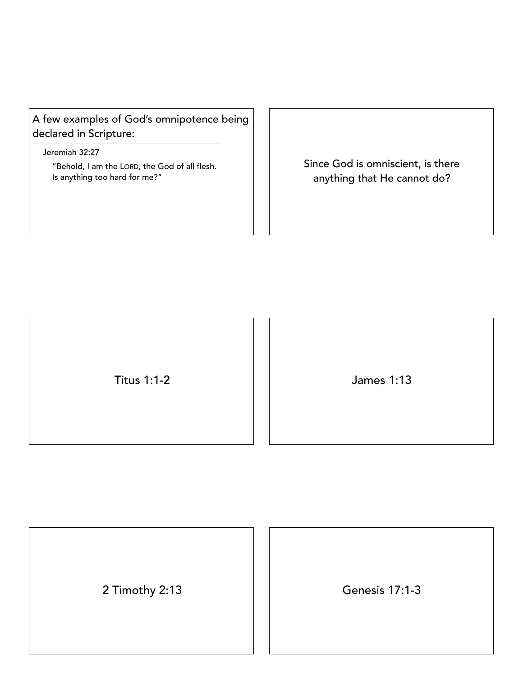## A few examples of God's omnipotence being declared in Scripture:

Jeremiah 32:27

"Behold, I am the LORD, the God of all flesh. Is anything too hard for me?"

Since God is omniscient, is there anything that He cannot do?

Titus 1:1-2 James 1:13

2 Timothy 2:13 Genesis 17:1-3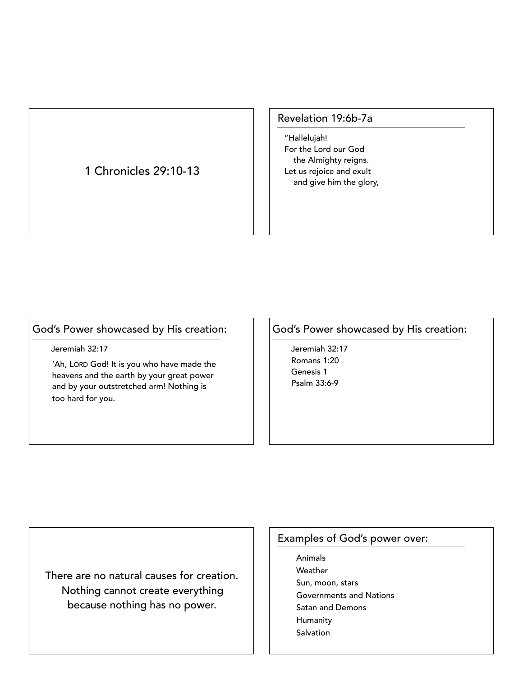## 1 Chronicles 29:10-13

#### Revelation 19:6b-7a

"Hallelujah! For the Lord our God the Almighty reigns. Let us rejoice and exult and give him the glory,

## God's Power showcased by His creation:

• Jeremiah 32:17

'Ah, LORD God! It is you who have made the heavens and the earth by your great power and by your outstretched arm! Nothing is too hard for you.

### God's Power showcased by His creation:

• Jeremiah 32:17 • Romans 1:20 Genesis 1 • Psalm 33:6-9

There are no natural causes for creation. Nothing cannot create everything because nothing has no power.

## Examples of God's power over:

**Animals Weather** Sun, moon, stars Governments and Nations Satan and Demons **Humanity Salvation**